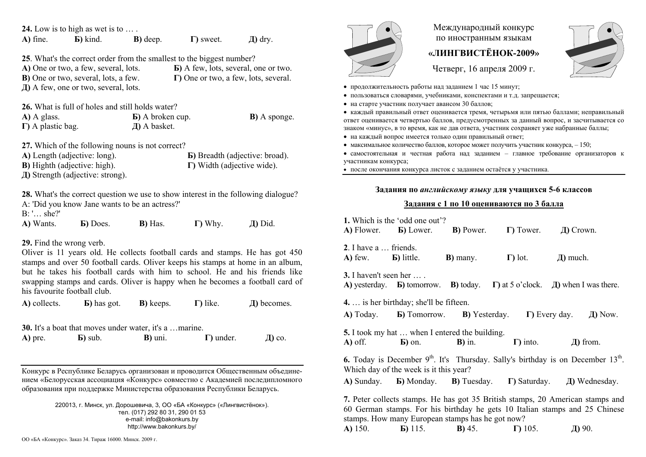| A) fine.                                                                                                                                                                                                                                                                                                                                                                                     | 24. Low is to high as wet is to $\dots$ .<br>$\bf{E})$ kind.                                                                      | <b>B</b> ) deep.                         | $\Gamma$ ) sweet.                                                                                                                                                     | Д) dry.              |  |
|----------------------------------------------------------------------------------------------------------------------------------------------------------------------------------------------------------------------------------------------------------------------------------------------------------------------------------------------------------------------------------------------|-----------------------------------------------------------------------------------------------------------------------------------|------------------------------------------|-----------------------------------------------------------------------------------------------------------------------------------------------------------------------|----------------------|--|
|                                                                                                                                                                                                                                                                                                                                                                                              | A) One or two, a few, several, lots.<br><b>B</b> ) One or two, several, lots, a few.<br>$\pi$ ) A few, one or two, several, lots. |                                          | 25. What's the correct order from the smallest to the biggest number?<br><b>b</b> ) A few, lots, several, one or two.<br>$\Gamma$ ) One or two, a few, lots, several. |                      |  |
| A) A glass.<br>$\Gamma$ ) A plastic bag.                                                                                                                                                                                                                                                                                                                                                     | 26. What is full of holes and still holds water?                                                                                  | <b>Б</b> ) A broken cup.<br>Д) A basket. |                                                                                                                                                                       | <b>B</b> ) A sponge. |  |
| 27. Which of the following nouns is not correct?<br>A) Length (adjective: long).<br><b>B</b> ) Breadth (adjective: broad).<br><b>B</b> ) Highth (adjective: high).<br>$\Gamma$ ) Width (adjective wide).<br>Д) Strength (adjective: strong).                                                                                                                                                 |                                                                                                                                   |                                          |                                                                                                                                                                       |                      |  |
| 28. What's the correct question we use to show interest in the following dialogue?<br>A: 'Did you know Jane wants to be an actress?'<br>B: ' she?'                                                                                                                                                                                                                                           |                                                                                                                                   |                                          |                                                                                                                                                                       |                      |  |
| A) Wants.                                                                                                                                                                                                                                                                                                                                                                                    | <b>b</b> ) Does.                                                                                                                  | B) Has.                                  | $\Gamma$ ) Why.                                                                                                                                                       | Д) Did.              |  |
| 29. Find the wrong verb.<br>Oliver is 11 years old. He collects football cards and stamps. He has got 450<br>stamps and over 50 football cards. Oliver keeps his stamps at home in an album,<br>but he takes his football cards with him to school. He and his friends like<br>swapping stamps and cards. Oliver is happy when he becomes a football card of<br>his favourite football club. |                                                                                                                                   |                                          |                                                                                                                                                                       |                      |  |
| A) collects.                                                                                                                                                                                                                                                                                                                                                                                 | <b>b</b> ) has got.                                                                                                               | <b>B</b> ) keeps.                        | $\Gamma$ ) like.                                                                                                                                                      | Д) becomes.          |  |
|                                                                                                                                                                                                                                                                                                                                                                                              | <b>30.</b> It's a boat that moves under water, it's a  marine.                                                                    |                                          |                                                                                                                                                                       |                      |  |
| A) pre.                                                                                                                                                                                                                                                                                                                                                                                      | <b>b</b> ) sub.                                                                                                                   | B) uni.                                  | $\Gamma$ ) under.                                                                                                                                                     | Д) со.               |  |

Конкурс <sup>в</sup> Республике Беларусь организован и проводится Общественным объединением «Белорусская ассоциация «Конкурс» совместно <sup>с</sup> Академией последипломного образования при поддержке Министерства образования Республики Беларусь.

> 220013, <sup>г</sup>. Минск, ул. Дорошевича, 3, ОО «БА «Конкурс» («Лингвистёнок»). тел. (017) 292 80 31, 290 01 53 e-mail: info@bakonkurs.by http://www.bakonkurs.by/



Международный конкурс по иностранным языкам

## **«ЛИНГВИСТЁНОК-2009»**



Четверг, 16 апреля 2009 г.

- продолжительность работы над заданием 1 час 15 минут;
- пользоваться словарями, учебниками, конспектами <sup>и</sup> <sup>т</sup>.д. запрещается;
- на старте участник получает авансом 30 баллов;

 каждый правильный ответ оценивается тремя, четырьмя или пятью баллами; неправильный ответ оценивается четвертью баллов, предусмотренных за данный вопрос, <sup>и</sup> засчитывается со знаком «минус», <sup>в</sup> то время, как не дав ответа, участник сохраняет уже набранные баллы;

на каждый вопрос имеется только один правильный ответ;

• максимальное количество баллов, которое может получить участник конкурса,  $-150$ ;

 самостоятельная и честная работа над заданием – главное требование организаторов <sup>к</sup> участникам конкурса;

после окончания конкурса листок <sup>с</sup> заданием остаётся у участника.

## **Задания по** *английскому языку* **для учащихся 5-6 классов**

## **Задания <sup>с</sup> 1 по 10 оцениваются по 3 балла**

**1.** Which is the 'odd one out'? **A)** Flower. **Б)** Lower. **В)** Power. **Г)** Tower. **Д)** Crown. **2**. I have a … friends. **A)** few. **Б)** little. **В)** many. **Г)** lot. **Д)** much. **3.** I haven't seen her **A)** yesterday. **Б)** tomorrow. **В)** today. **Г)** at 5 o'clock. **Д)** when I was there. **4.** … is her birthday; she'll be fifteen. **A)** Today. **Б)** Tomorrow. **В)** Yesterday. **Г)** Every day. **Д)** Now. **5.** I took my hat … when I entered the building. **A)** off. **Б)** on. **В)** in. **Г)** into. **Д)** from. **6.** Today is December  $9<sup>th</sup>$ . It's Thursday. Sally's birthday is on December  $13<sup>th</sup>$ . Which day of the week is it this year? **A)** Sunday. **Б)** Monday. **В)** Tuesday. **Г)** Saturday. **Д)** Wednesday. **7.** Peter collects stamps. He has got 35 British stamps, 20 American stamps and 60 German stamps. For his birthday he gets 10 Italian stamps and 25 Chinese stamps. How many European stamps has he got now?

**A)** 150. **Б)** 115. **В)** 45. **Г)** 105. **Д)** 90.